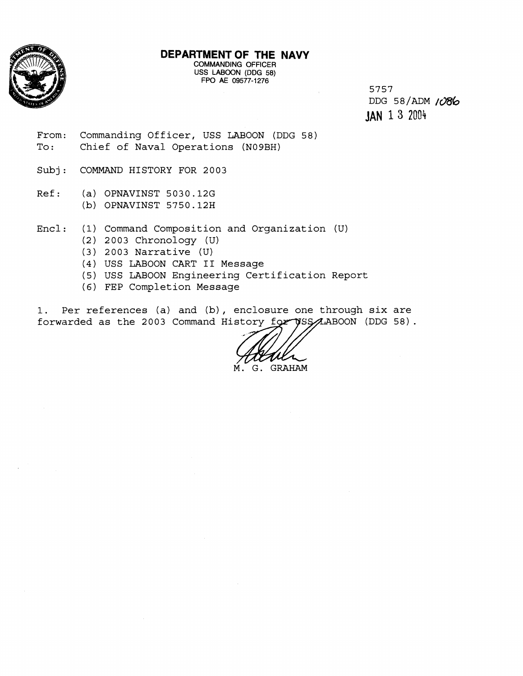

## **DEPARTMENT OF THE NAVY**

**COMMANDING OFFICER**  USS **LABOON (DDG 58) FPO AE 09577-1276** 

5757  $DDG$  58/ADM  $1086$ **JAN** 1 **3** <sup>2034</sup>

- From: Commanding Officer, USS LABOON (DDG 58) To: Chief of Naval Operations (N09BH)
- Subj: COMMAND HISTORY FOR 2003
- Ref: (a) OPNAVINST 5030.126 **(b)** OPNAVINST 5750.12H
- Encl : (1) Command Composition and Organization (U)
	- (2) 2003 Chronology **(U)**
	- (3) 2003 Narrative (U)
	- (4) USS LABOON CART I1 Message
	- (5) USS LABOON Engineering Certification Report
	- (6) FEP Completion Message

1. Per references (a) and (b), enclosure one through six are forwarded as the 2003 Command History for USS ALABOON (DDG 58).

M. G. GRAHAM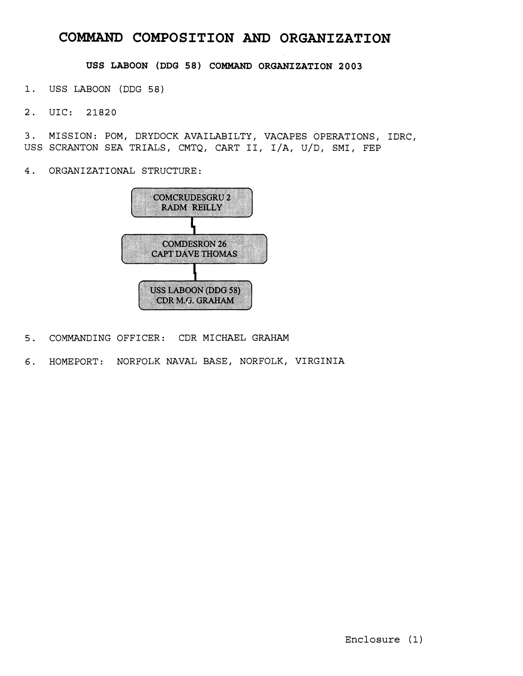# **COMMAND COMPOSITION AND ORGANIZATION**

**USS LABOON (DDG 58) COMMAND ORGANIZATION 2003** 

**1. US\$ LABOON (DDG 58)** 

**2. UIC: 21820** 

**3. MISSION: POM, DRYDOCK AVAILABILTY, VACAPES OPERATIONS, IDRC, USS SCIWTON SEA TRIALS, CMTQ, CART 11, I/A, U/D, SMI, FEP** 

**<sup>4</sup>**. **ORGAN I ZATIONAL STRUCTURE** :



- **5. C0:MWLNDING OFFICER: CDR MICHAEL GRAHAM**
- **6. HO'MEPORT: NORFOLK NAVAL BASE, NORFOLK, VIRGINIA**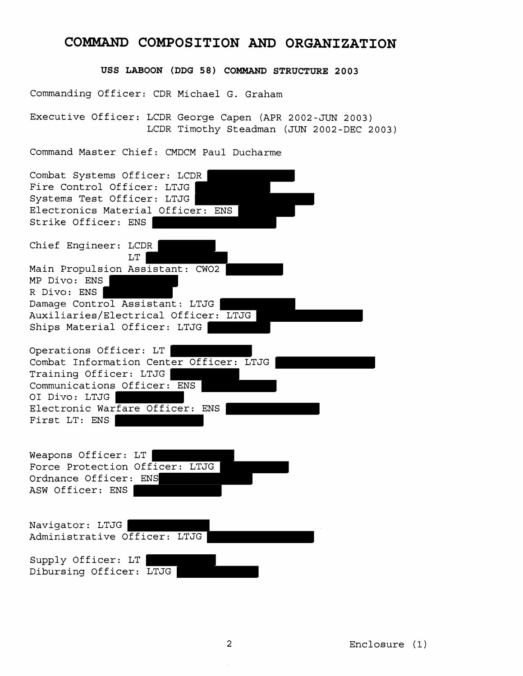## **COMMAND COMPOSITION AND ORGANIZATION**

**USS LABOON (DDG 58) COMMAND STRUCTURE 2003** 

Commanding Officer: CDR Michael G. Graham

Executive Officer: LCDR George Capen (APR 2002-JUN 2003) LCDR Timothy Steadman (JUN 2002-DEC 2003)

Command Master Chief: CMDCM Paul Ducharme

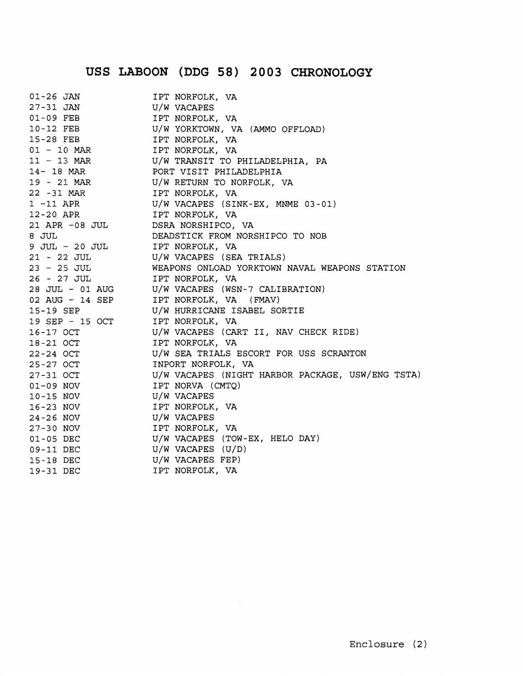# **USS LABOON (DDG 58) 2003 CHRONOLOGY**

| $01 - 26$ JAN                                      | IPT NORFOLK, VA                                                                                                                                                                                                                                                                                                                                                                                                                                                                                                       |
|----------------------------------------------------|-----------------------------------------------------------------------------------------------------------------------------------------------------------------------------------------------------------------------------------------------------------------------------------------------------------------------------------------------------------------------------------------------------------------------------------------------------------------------------------------------------------------------|
|                                                    | 27-31 JAN U/W VACAPES<br>01-09 FEB IPT NORFOLK, VA<br>10-12 FEB IPT NORFOLK, VA<br>15-28 FEB IPT NORFOLK, VA (AMMO OFFLOAD)<br>15-28 FEB IPT NORFOLK, VA                                                                                                                                                                                                                                                                                                                                                              |
|                                                    |                                                                                                                                                                                                                                                                                                                                                                                                                                                                                                                       |
|                                                    |                                                                                                                                                                                                                                                                                                                                                                                                                                                                                                                       |
|                                                    |                                                                                                                                                                                                                                                                                                                                                                                                                                                                                                                       |
| 01 - 10 MAR IPT NORFOLK, VA                        |                                                                                                                                                                                                                                                                                                                                                                                                                                                                                                                       |
|                                                    | 11 - 13 MAR U/W TRANSIT TO PHILADELPHIA, PA                                                                                                                                                                                                                                                                                                                                                                                                                                                                           |
|                                                    | 14-18 MAR PORT VISIT PHILADELPHIA                                                                                                                                                                                                                                                                                                                                                                                                                                                                                     |
|                                                    | 19 - 21 MAR V/W RETURN TO NORFOLK, VA                                                                                                                                                                                                                                                                                                                                                                                                                                                                                 |
| 22 -31 MAR IPT NORFOLK, VA                         |                                                                                                                                                                                                                                                                                                                                                                                                                                                                                                                       |
|                                                    | $1 - 11$ APR $U/W$ VACAPES (SINK-EX, MNME 03-01)                                                                                                                                                                                                                                                                                                                                                                                                                                                                      |
| 12-20 APR TPT NORFOLK, VA                          |                                                                                                                                                                                                                                                                                                                                                                                                                                                                                                                       |
| 21 APR -08 JUL DSRA NORSHIPCO, VA                  |                                                                                                                                                                                                                                                                                                                                                                                                                                                                                                                       |
| 8 JUL                                              | DEADSTICK FROM NORSHIPCO TO NOB                                                                                                                                                                                                                                                                                                                                                                                                                                                                                       |
| 9 JUL - 20 JUL IPT NORFOLK, VA                     |                                                                                                                                                                                                                                                                                                                                                                                                                                                                                                                       |
|                                                    | 21 - 22 JUL VW VACAPES (SEA TRIALS)                                                                                                                                                                                                                                                                                                                                                                                                                                                                                   |
|                                                    | 23 - 25 JUL WEAPONS ONLOAD YORKTOWN NAVAL WEAPONS STATION                                                                                                                                                                                                                                                                                                                                                                                                                                                             |
| 26 - 27 JUL 1PT NORFOLK, VA                        |                                                                                                                                                                                                                                                                                                                                                                                                                                                                                                                       |
|                                                    | 28 JUL - 01 AUG U/W VACAPES (WSN-7 CALIBRATION)                                                                                                                                                                                                                                                                                                                                                                                                                                                                       |
|                                                    | 02 AUG - 14 SEP IPT NORFOLK, VA (FMAV)                                                                                                                                                                                                                                                                                                                                                                                                                                                                                |
| 15-19 SEP                                          | U/W HURRICANE ISABEL SORTIE<br>$\begin{tabular}{lllllllllllll} \multicolumn{3}{c}{\begin{tabular}{l} \multicolumn{3}{c}{\multicolumn{3}{c}{\multicolumn{3}{c}{\multicolumn{3}{c}{\multicolumn{3}{c}{\multicolumn{3}{c}{\multicolumn{3}{c}{\multicolumn{3}{c}{\multicolumn{3}{c}{\multicolumn{3}{c}{\multicolumn{3}{c}{\multicolumn{3}{c}{\multicolumn{3}{c}{\multicolumn{3}{c}{\multicolumn{3}{c}{\multicolumn{3}{c}{\multicolumn{3}{c}{\multicolumn{3}{c}{\multicolumn{3}{c}{\multicolumn{3}{c}{\multicolumn{3}{c}{$ |
|                                                    |                                                                                                                                                                                                                                                                                                                                                                                                                                                                                                                       |
|                                                    |                                                                                                                                                                                                                                                                                                                                                                                                                                                                                                                       |
|                                                    |                                                                                                                                                                                                                                                                                                                                                                                                                                                                                                                       |
|                                                    |                                                                                                                                                                                                                                                                                                                                                                                                                                                                                                                       |
|                                                    |                                                                                                                                                                                                                                                                                                                                                                                                                                                                                                                       |
|                                                    |                                                                                                                                                                                                                                                                                                                                                                                                                                                                                                                       |
|                                                    |                                                                                                                                                                                                                                                                                                                                                                                                                                                                                                                       |
|                                                    |                                                                                                                                                                                                                                                                                                                                                                                                                                                                                                                       |
| 16-23 NOV IPT NORFOLK, VA<br>24-26 NOV U/W VACAPES |                                                                                                                                                                                                                                                                                                                                                                                                                                                                                                                       |
|                                                    |                                                                                                                                                                                                                                                                                                                                                                                                                                                                                                                       |
|                                                    |                                                                                                                                                                                                                                                                                                                                                                                                                                                                                                                       |
|                                                    |                                                                                                                                                                                                                                                                                                                                                                                                                                                                                                                       |
|                                                    | 27-30 NOV<br>01-05 DEC U/W VACAPES (TOW-EX, HELO DAY)<br>09-11 DEC U/W VACAPES (U/D)                                                                                                                                                                                                                                                                                                                                                                                                                                  |
| 15-18 DEC U/W VACAPES FEP)<br>19-31 DEC 19-71 DEC  |                                                                                                                                                                                                                                                                                                                                                                                                                                                                                                                       |
|                                                    |                                                                                                                                                                                                                                                                                                                                                                                                                                                                                                                       |

 $\mathcal{L}^{\text{max}}_{\text{max}}$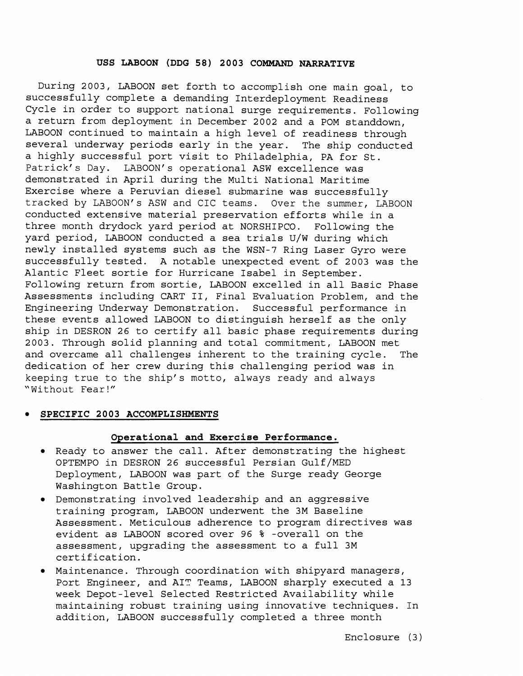#### **USS LABOON (DDG 58) 2003 COMMAND NARRATIVE**

During 2003, LABOON set forth to accomplish one main goal, to successfully complete a demanding Interdeployment Readiness Cycle in order to support national surge requirements. Following a return from deployment in December 2002 and a POM standdown, LABOON continued to maintain a high level of readiness through several underway periods early in the year. The ship conducted a highly successful port visit to Philadelphia, PA for St. Patrick's Day. LABOON's operational ASW excellence was demonstrated in April during the Multi National Maritime Exercise where a Peruvian diesel submarine was successfully tracked by LABOON's ASW and CIC teams. Over the summer, LABOON conducted extensive material preservation efforts while in a three month drydock yard period at NORSHIPCO. Following the yard period, LABOON conducted a sea trials U/W during which newly installed systems such as the WSN-7 Ring Laser Gyro were successfully tested. A notable unexpected event of 2003 was the Alantic Fleet sortie for Hurricane Isabel in September. Following return from sortie, LABOON excelled in all Basic Phase Assessments including CART II, Final Evaluation Problem, and the Engineering Underway Demonstration. Successful performance in these events allowed LABOON to distinguish herself as the only ship in DESRON 26 to certify all basic phase requirements during 2003. Through solid planning and total commitment, LABOON met and overcame all challenges inherent to the training cycle. The dedication of her crew during this challenging period was in keeping true to the ship's motto, always ready and always "Without Fear!"

#### **SPECIFIC 2003 ACCOMPLISHMENTS**

#### **Operational and Exercise Performance.**

- Ready to answer the call. After demonstrating the highest OPTEMPO in DESRON 26 successful Persian Gulf/MED Deployment, LABOON was part of the Surge ready George Washington Battle Group.
- Demonstrating involved leadership and an aggressive training program, LABOON underwent the 3M Baseline Assessment. Meticulous adherence to program directives was evident as LABOON scored over 96 % -overall on the assessment, upgrading the assessment to a full 3M c\ert.if ication.
- $\bullet$  Maintenance. Through coordination with shipyard managers, Port Engineer, and AIT Teams, LABOON sharply executed a 13 week Depot-level Selected Restricted Availability while maintaining robust training using innovative techniques. In addition, LABOON successfully completed a three month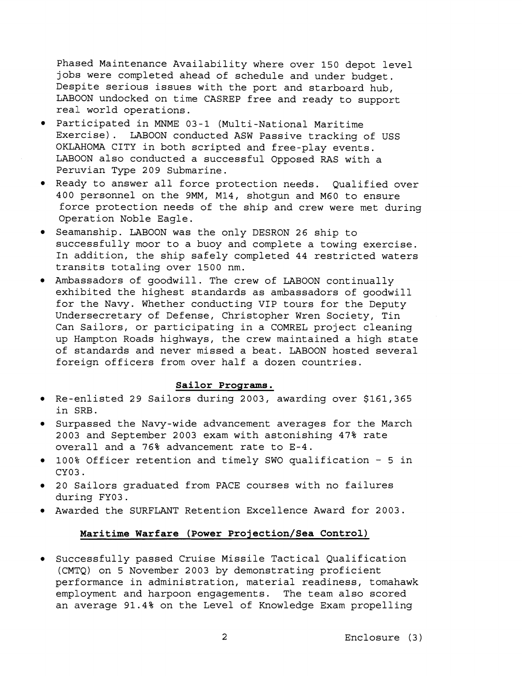Phased Maintenance Availability where over 150 depot level jobs were completed ahead of schedule and under budget. Despite serious issues with the port and starboard hub, LABOON undocked on time CASREP free and ready to support real world operations.

- Participated in MNME 03-1 (Multi-National Maritime Exercise). LABOON conducted ASW Passive tracking of USS OKLAHOMA CITY in both scripted and free-play events. LABOON also conducted a successful Opposed RAS with a Peruvian Type 209 Submarine.
- Ready to answer all force protection needs. Qualified over 400 personnel on the 9MM, M14, shotgun and M60 to ensure force protection needs of the ship and crew were met during Operation Noble Eagle.
- Seamanship. LABOON was the only DESRON 26 ship to successfully moor to a buoy and complete a towing exercise. In addition, the ship safely completed 44 restricted waters transits totaling over 1500 nm.
- Ambassadors of goodwill. The crew of LABOON continually exhibited the highest standards as ambassadors of goodwill for the Navy. Whether conducting VIP tours for the Deputy Undersecretary of Defense, Christopher Wren Society, Tin Can Sailors, or participating in a COMREL project cleaning up Hampton Roads highways, the crew maintained a high state of standards and never missed a beat. LABOON hosted several foreign officers from over half a dozen countries.

#### **Sailor Programs.**

- Re-enlisted 29 Sailors during 2003, awarding over \$161,365 in SRB.
- Surpassed the Navy-wide advancement averages for the March 2003 and September 2003 exam with astonishing 47% rate overall and a 76% advancement rate to E-4.
- 100% Officer retention and timely SWO qualification 5 in CY03.
- 20 Sailors graduated from PACE courses with no failures during FY03.
- Awarded the SURFLANT Retention Excellence Award for 2003.

#### Maritime Warfare (Power Projection/Sea Control)

Successfully passed Cruise Missile Tactical Qualification (CMTQ) on 5 November 2003 by demonstrating proficient performance in administration, material readiness, tomahawk employment and harpoon engagements. The team also scored an average 91.4% on the Level of Knowledge Exam propelling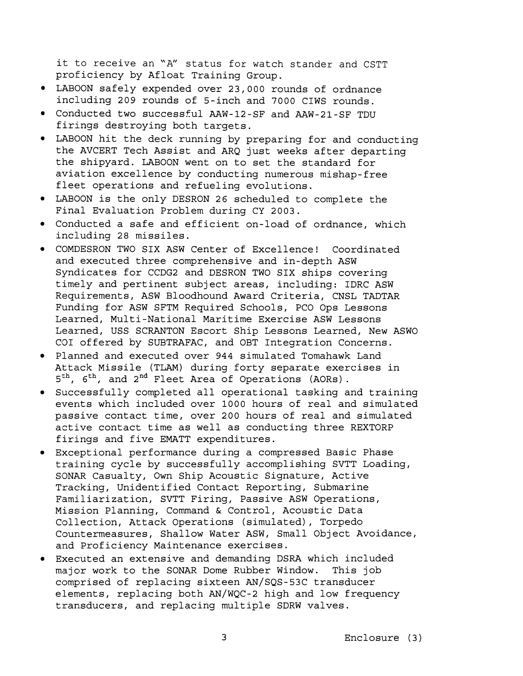it to receive an "A" status for watch stander and CSTT proficiency by Afloat Training Group.

- LABOON safely expended over 23,000 rounds of ordnance including 209 rounds of 5-inch and 7000 CIWS rounds.
- Conducted two successful AAW-12-SF and AAW-21-SF TDU firings destroying both targets.
- LABOON hit the deck running by preparing for and conducting the AVCERT Tech Assist and ARQ just weeks after departing the shipyard. LABOON went on to set the standard for aviation excellence by conducting numerous mishap-free fleet operations and refueling evolutions.
- LABCION is the only DESRON 26 scheduled to complete the Final Evaluation Problem during CY 2003.
- Conducted a safe and efficient on-load of ordnance, which including 28 missiles.
- COMDESRON TWO SIX ASW Center of Excellence! Coordinated and executed three comprehensive and in-depth ASW Syndicates for CCDG2 and DESRON TWO SIX ships covering timely and pertinent subject areas, including: IDRC ASW Requirements, ASW Bloodhound Award Criteria, CNSL TADTAR Funding for ASW SFTM Required Schools, PC0 Ops Lessons Learned, Multi-National Maritime Exercise ASW Lessons Learned, USS SCRANTON Escort Ship Lessons Learned, New ASWO COI offered by SUBTRAFAC, and OBT Integration Concerns.
- Planned and executed over 944 simulated Tomahawk Land Attack Missile (TLAM) during forty separate exercises in 5<sup>th</sup>, 6<sup>th</sup>, and 2<sup>nd</sup> Fleet Area of Operations (AORs).
- Successfully completed all operational tasking and training events which included over 1000 hours of real and simulated passive contact time, over 200 hours of real and simulated active contact time as well as conducting three REXTORP firings and five EMATT expenditures.
- Exceptional performance during a compressed Basic Phase training cycle by successfully accomplishing SVTT Loading, SONAR Casualty, Own Ship Acoustic Signature, Active Tracking, Unidentified Contact Reporting, Submarine Familiarization, SVTT Firing, Passive ASW Operations, Mission Planning, Command & Control, Acoustic Data Collection, Attack Operations (simulated), Torpedo Countermeasures, Shallow Water ASW, Small Object Avoidance, and Proficiency Maintenance exercises.
- Executed an extensive and demanding DSRA which included major work to the SONAR Dome Rubber Window. This job comprised of replacing sixteen AN/SQS-53C transducer elements, replacing both AN/WQC-2 high and low frequency transducers, and replacing multiple SDRW valves.